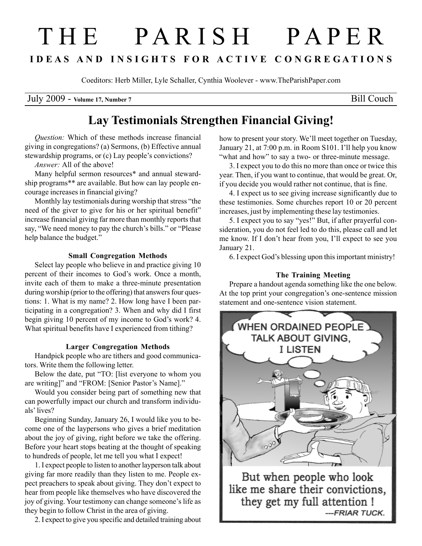# T H E P A R I S H P A P E R I D E A S A N D I N S I G H T S F O R A C T I V E C O N G R E G A T I O N S

Coeditors: Herb Miller, Lyle Schaller, Cynthia Woolever - www.TheParishPaper.com

July 2009 - Volume 17, Number 7 Bill Couch

## Lay Testimonials Strengthen Financial Giving!

Question: Which of these methods increase financial giving in congregations? (a) Sermons, (b) Effective annual stewardship programs, or (c) Lay people's convictions?

Answer: All of the above!

Many helpful sermon resources\* and annual stewardship programs\*\* are available. But how can lay people encourage increases in financial giving?

Monthly lay testimonials during worship that stress "the need of the giver to give for his or her spiritual benefit" increase financial giving far more than monthly reports that say, "We need money to pay the church's bills." or "Please help balance the budget."

#### Small Congregation Methods

Select lay people who believe in and practice giving 10 percent of their incomes to God's work. Once a month, invite each of them to make a three-minute presentation during worship (prior to the offering) that answers four questions: 1. What is my name? 2. How long have I been participating in a congregation? 3. When and why did I first begin giving 10 percent of my income to God's work? 4. What spiritual benefits have I experienced from tithing?

#### Larger Congregation Methods

Handpick people who are tithers and good communicators. Write them the following letter.

Below the date, put "TO: [list everyone to whom you are writing]" and "FROM: [Senior Pastor's Name]."

Would you consider being part of something new that can powerfully impact our church and transform individuals' lives?

Beginning Sunday, January 26, I would like you to become one of the laypersons who gives a brief meditation about the joy of giving, right before we take the offering. Before your heart stops beating at the thought of speaking to hundreds of people, let me tell you what I expect!

1. I expect people to listen to another layperson talk about giving far more readily than they listen to me. People expect preachers to speak about giving. They don't expect to hear from people like themselves who have discovered the joy of giving. Your testimony can change someone's life as they begin to follow Christ in the area of giving.

2. I expect to give you specific and detailed training about

how to present your story. We'll meet together on Tuesday, January 21, at 7:00 p.m. in Room S101. I'll help you know "what and how" to say a two- or three-minute message.

3. I expect you to do this no more than once or twice this year. Then, if you want to continue, that would be great. Or, if you decide you would rather not continue, that is fine.

4. I expect us to see giving increase significantly due to these testimonies. Some churches report 10 or 20 percent increases, just by implementing these lay testimonies.

5. I expect you to say "yes!" But, if after prayerful consideration, you do not feel led to do this, please call and let me know. If I don't hear from you, I'll expect to see you January 21.

6. I expect God's blessing upon this important ministry!

#### The Training Meeting

Prepare a handout agenda something like the one below. At the top print your congregation's one-sentence mission statement and one-sentence vision statement.